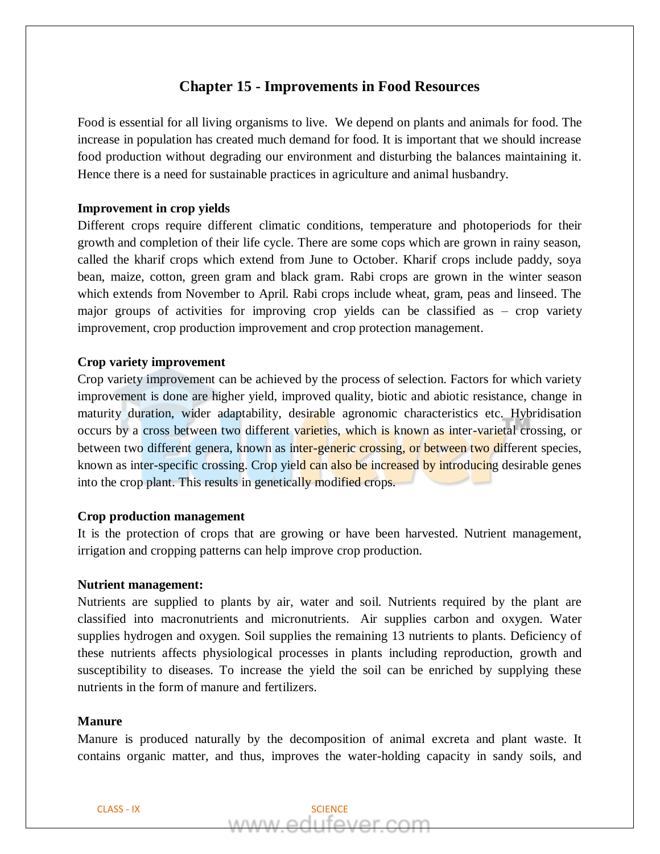# **Chapter 15 - Improvements in Food Resources**

Food is essential for all living organisms to live. We depend on plants and animals for food. The increase in population has created much demand for food. It is important that we should increase food production without degrading our environment and disturbing the balances maintaining it. Hence there is a need for sustainable practices in agriculture and animal husbandry.

## **Improvement in crop yields**

Different crops require different climatic conditions, temperature and photoperiods for their growth and completion of their life cycle. There are some cops which are grown in rainy season, called the kharif crops which extend from June to October. Kharif crops include paddy, soya bean, maize, cotton, green gram and black gram. Rabi crops are grown in the winter season which extends from November to April. Rabi crops include wheat, gram, peas and linseed. The major groups of activities for improving crop yields can be classified as – crop variety improvement, crop production improvement and crop protection management.

### **Crop variety improvement**

Crop variety improvement can be achieved by the process of selection. Factors for which variety improvement is done are higher yield, improved quality, biotic and abiotic resistance, change in maturity duration, wider adaptability, desirable agronomic characteristics etc. Hybridisation occurs by a cross between two different varieties, which is known as inter-varietal crossing, or between two different genera, known as inter-generic crossing, or between two different species, known as inter-specific crossing. Crop yield can also be increased by introducing desirable genes into the crop plant. This results in genetically modified crops.

### **Crop production management**

It is the protection of crops that are growing or have been harvested. Nutrient management, irrigation and cropping patterns can help improve crop production.

#### **Nutrient management:**

Nutrients are supplied to plants by air, water and soil. Nutrients required by the plant are classified into macronutrients and micronutrients. Air supplies carbon and oxygen. Water supplies hydrogen and oxygen. Soil supplies the remaining 13 nutrients to plants. Deficiency of these nutrients affects physiological processes in plants including reproduction, growth and susceptibility to diseases. To increase the yield the soil can be enriched by supplying these nutrients in the form of manure and fertilizers.

## **Manure**

Manure is produced naturally by the decomposition of animal excreta and plant waste. It contains organic matter, and thus, improves the water-holding capacity in sandy soils, and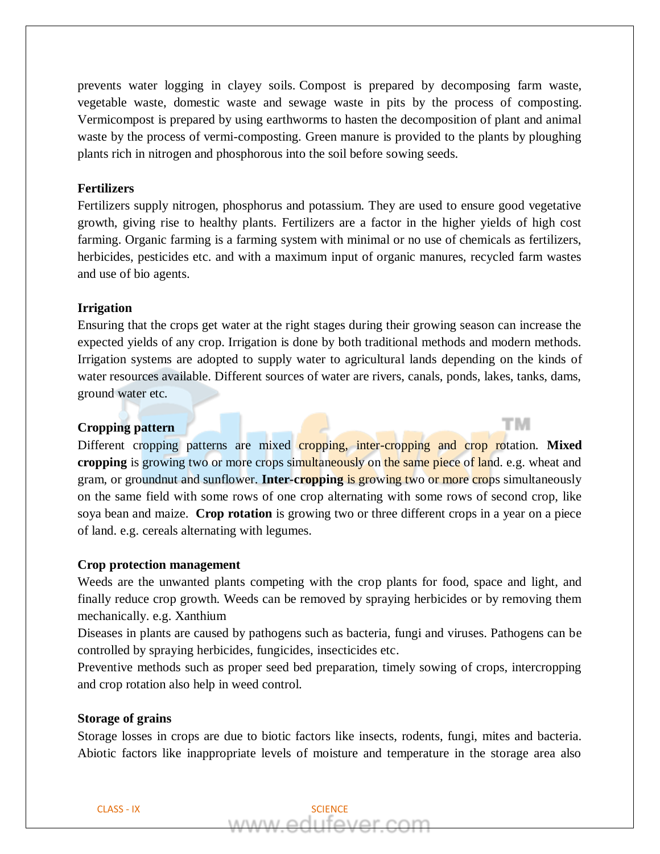prevents water logging in clayey soils. Compost is prepared by decomposing farm waste, vegetable waste, domestic waste and sewage waste in pits by the process of composting. Vermicompost is prepared by using earthworms to hasten the decomposition of plant and animal waste by the process of vermi-composting. Green manure is provided to the plants by ploughing plants rich in nitrogen and phosphorous into the soil before sowing seeds.

## **Fertilizers**

Fertilizers supply nitrogen, phosphorus and potassium. They are used to ensure good vegetative growth, giving rise to healthy plants. Fertilizers are a factor in the higher yields of high cost farming. Organic farming is a farming system with minimal or no use of chemicals as fertilizers, herbicides, pesticides etc. and with a maximum input of organic manures, recycled farm wastes and use of bio agents.

## **Irrigation**

Ensuring that the crops get water at the right stages during their growing season can increase the expected yields of any crop. Irrigation is done by both traditional methods and modern methods. Irrigation systems are adopted to supply water to agricultural lands depending on the kinds of water resources available. Different sources of water are rivers, canals, ponds, lakes, tanks, dams, ground water etc.

тм

## **Cropping pattern**

Different cropping patterns are mixed cropping, inter-cropping and crop rotation. **Mixed cropping** is growing two or more crops simultaneously on the same piece of land. e.g. wheat and gram, or groundnut and sunflower. **Inter-cropping** is growing two or more crops simultaneously on the same field with some rows of one crop alternating with some rows of second crop, like soya bean and maize. **Crop rotation** is growing two or three different crops in a year on a piece of land. e.g. cereals alternating with legumes.

### **Crop protection management**

Weeds are the unwanted plants competing with the crop plants for food, space and light, and finally reduce crop growth. Weeds can be removed by spraying herbicides or by removing them mechanically. e.g. Xanthium

Diseases in plants are caused by pathogens such as bacteria, fungi and viruses. Pathogens can be controlled by spraying herbicides, fungicides, insecticides etc.

Preventive methods such as proper seed bed preparation, timely sowing of crops, intercropping and crop rotation also help in weed control.

#### **Storage of grains**

Storage losses in crops are due to biotic factors like insects, rodents, fungi, mites and bacteria. Abiotic factors like inappropriate levels of moisture and temperature in the storage area also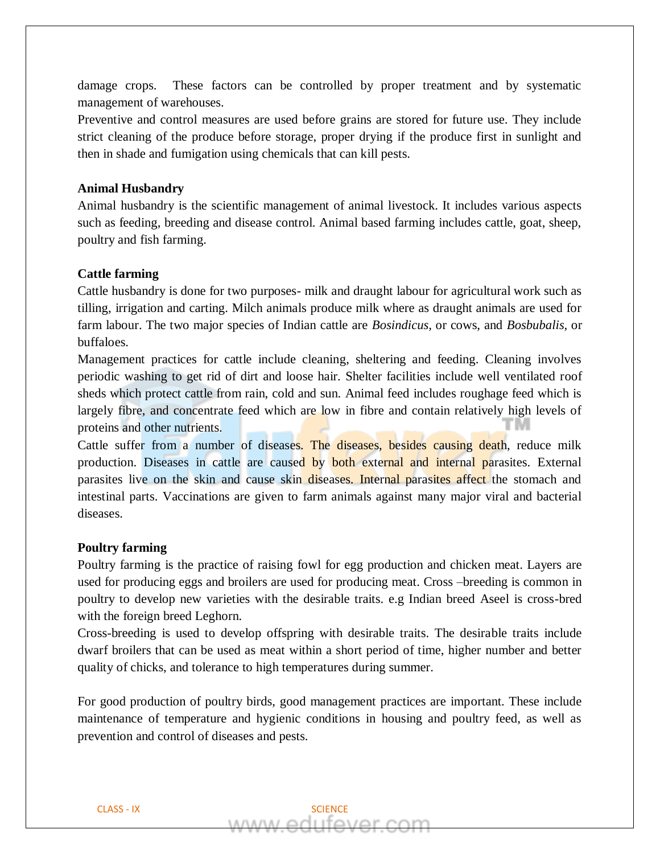damage crops. These factors can be controlled by proper treatment and by systematic management of warehouses.

Preventive and control measures are used before grains are stored for future use. They include strict cleaning of the produce before storage, proper drying if the produce first in sunlight and then in shade and fumigation using chemicals that can kill pests.

## **Animal Husbandry**

Animal husbandry is the scientific management of animal livestock. It includes various aspects such as feeding, breeding and disease control. Animal based farming includes cattle, goat, sheep, poultry and fish farming.

## **Cattle farming**

Cattle husbandry is done for two purposes- milk and draught labour for agricultural work such as tilling, irrigation and carting. Milch animals produce milk where as draught animals are used for farm labour. The two major species of Indian cattle are *Bosindicus,* or cows, and *Bosbubalis,* or buffaloes.

Management practices for cattle include cleaning, sheltering and feeding. Cleaning involves periodic washing to get rid of dirt and loose hair. Shelter facilities include well ventilated roof sheds which protect cattle from rain, cold and sun. Animal feed includes roughage feed which is largely fibre, and concentrate feed which are low in fibre and contain relatively high levels of proteins and other nutrients.

Cattle suffer from a number of diseases. The diseases, besides causing death, reduce milk production. Diseases in cattle are caused by both external and internal parasites. External parasites live on the skin and cause skin diseases. Internal parasites affect the stomach and intestinal parts. Vaccinations are given to farm animals against many major viral and bacterial diseases.

## **Poultry farming**

Poultry farming is the practice of raising fowl for egg production and chicken meat. Layers are used for producing eggs and broilers are used for producing meat. Cross –breeding is common in poultry to develop new varieties with the desirable traits. e.g Indian breed Aseel is cross-bred with the foreign breed Leghorn.

Cross-breeding is used to develop offspring with desirable traits. The desirable traits include dwarf broilers that can be used as meat within a short period of time, higher number and better quality of chicks, and tolerance to high temperatures during summer.

For good production of poultry birds, good management practices are important. These include maintenance of temperature and hygienic conditions in housing and poultry feed, as well as prevention and control of diseases and pests.